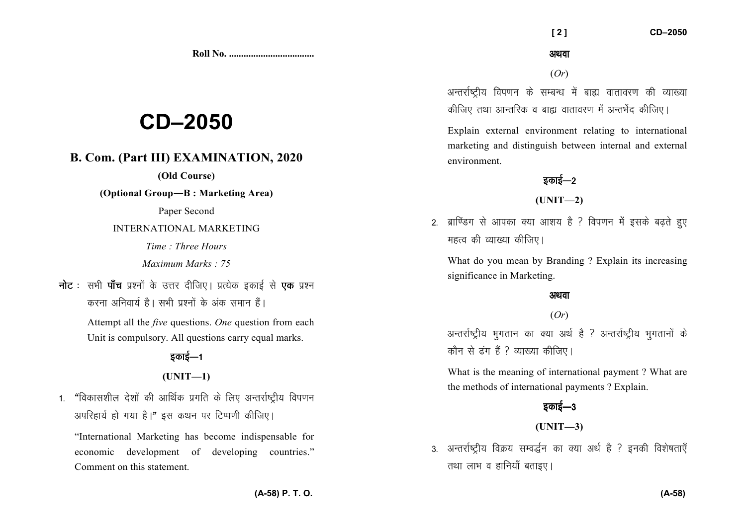**Roll No. ...................................** 

# **CD–2050**

# **B. Com. (Part III) EXAMINATION, 2020**

## **(Old Course)**

**(Optional Group—B : Marketing Area)** 

Paper Second

INTERNATIONAL MARKETING

*Time : Three Hours Maximum Marks : 75* 

**नोट** : सभी **पाँच** प्रश्नों के उत्तर दीजिए। प्रत्येक इकाई से **एक** प्रश्न *djuk vfuok;Z gSA lHkh iz'uksa d¢ vad leku gSaA* 

> Attempt all the *five* questions. *One* question from each Unit is compulsory. All questions carry equal marks.

# <u>5काई—1</u>

#### **(UNIT—1)**

1. "विकासशील देशों की आर्थिक प्रगति के लिए अन्तर्राष्टीय विपणन *3* अपरिहार्य हो गया है।" इस कथन पर टिप्पणी कीजिए।

"International Marketing has become indispensable for economic development of developing countries." Comment on this statement.

अथवा

 **[ 2 ] CD–2050** 

(*Or*)

अन्तर्राष्टीय विपणन के सम्बन्ध में बाह्य वातावरण की व्याख्या *कीजिए* तथा आन्तरिक व बाह्य वातावरण में अन्तर्भेद कीजिए।

Explain external environment relating to international marketing and distinguish between internal and external environment.

# **5काई—2**

## **(UNIT—2)**

2. ब्राण्डिंग से आपका क्या आशय है ? विपणन में इसके बढते हुए *egRo dh O;k[;k dhft,A* 

What do you mean by Branding ? Explain its increasing significance in Marketing.

#### अथवा

#### (*Or*)

अन्तर्राष्ट्रीय भुगतान का क्या अर्थ है ? अन्तर्राष्ट्रीय भुगतानों के *कौन से ढंग हैं ? व्याख्या कीजिए*।

What is the meaning of international payment ? What are the methods of international payments ? Explain.

# *bdkbZ*&*<sup>3</sup>*

## **(UNIT—3)**

3. अन्तर्राष्ट्रीय विक्रय सम्वर्द्धन का क्या अर्थ है ? इनकी विशेषताएँ *rFkk ykHk o gkfu;k¡ crkb,A*